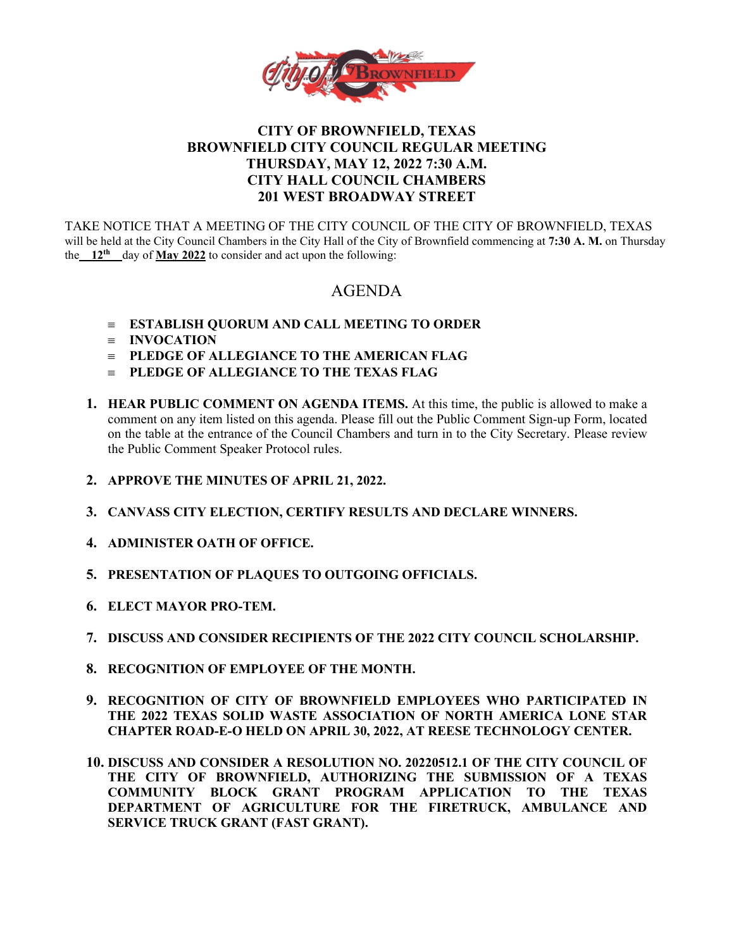

# **CITY OF BROWNFIELD, TEXAS BROWNFIELD CITY COUNCIL REGULAR MEETING THURSDAY, MAY 12, 2022 7:30 A.M. CITY HALL COUNCIL CHAMBERS 201 WEST BROADWAY STREET**

TAKE NOTICE THAT A MEETING OF THE CITY COUNCIL OF THE CITY OF BROWNFIELD, TEXAS will be held at the City Council Chambers in the City Hall of the City of Brownfield commencing at **7:30 A. M.** on Thursday the **12<sup>th</sup>** day of **May 2022** to consider and act upon the following:

# AGENDA

- ≡ **ESTABLISH QUORUM AND CALL MEETING TO ORDER**
- ≡ **INVOCATION**
- ≡ **PLEDGE OF ALLEGIANCE TO THE AMERICAN FLAG**
- ≡ **PLEDGE OF ALLEGIANCE TO THE TEXAS FLAG**
- **1. HEAR PUBLIC COMMENT ON AGENDA ITEMS.** At this time, the public is allowed to make a comment on any item listed on this agenda. Please fill out the Public Comment Sign-up Form, located on the table at the entrance of the Council Chambers and turn in to the City Secretary. Please review the Public Comment Speaker Protocol rules.
- **2. APPROVE THE MINUTES OF APRIL 21, 2022.**
- **3. CANVASS CITY ELECTION, CERTIFY RESULTS AND DECLARE WINNERS.**
- **4. ADMINISTER OATH OF OFFICE.**
- **5. PRESENTATION OF PLAQUES TO OUTGOING OFFICIALS.**
- **6. ELECT MAYOR PRO-TEM.**
- **7. DISCUSS AND CONSIDER RECIPIENTS OF THE 2022 CITY COUNCIL SCHOLARSHIP.**
- **8. RECOGNITION OF EMPLOYEE OF THE MONTH.**
- **9. RECOGNITION OF CITY OF BROWNFIELD EMPLOYEES WHO PARTICIPATED IN THE 2022 TEXAS SOLID WASTE ASSOCIATION OF NORTH AMERICA LONE STAR CHAPTER ROAD-E-O HELD ON APRIL 30, 2022, AT REESE TECHNOLOGY CENTER.**
- **10. DISCUSS AND CONSIDER A RESOLUTION NO. 20220512.1 OF THE CITY COUNCIL OF THE CITY OF BROWNFIELD, AUTHORIZING THE SUBMISSION OF A TEXAS COMMUNITY BLOCK GRANT PROGRAM APPLICATION TO THE TEXAS DEPARTMENT OF AGRICULTURE FOR THE FIRETRUCK, AMBULANCE AND SERVICE TRUCK GRANT (FAST GRANT).**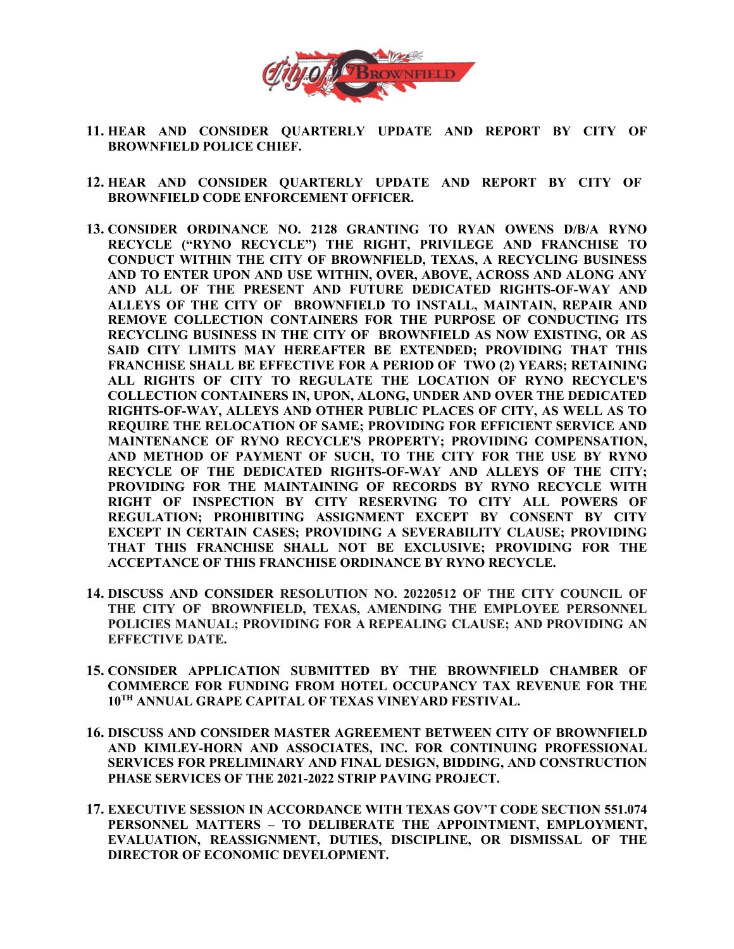

- **11. HEAR AND CONSIDER QUARTERLY UPDATE AND REPORT BY CITY OF BROWNFIELD POLICE CHIEF.**
- **12. HEAR AND CONSIDER QUARTERLY UPDATE AND REPORT BY CITY OF BROWNFIELD CODE ENFORCEMENT OFFICER.**
- **13. CONSIDER ORDINANCE NO. 2128 GRANTING TO RYAN OWENS D/B/A RYNO RECYCLE ("RYNO RECYCLE") THE RIGHT, PRIVILEGE AND FRANCHISE TO CONDUCT WITHIN THE CITY OF BROWNFIELD, TEXAS, A RECYCLING BUSINESS AND TO ENTER UPON AND USE WITHIN, OVER, ABOVE, ACROSS AND ALONG ANY AND ALL OF THE PRESENT AND FUTURE DEDICATED RIGHTS-OF-WAY AND ALLEYS OF THE CITY OF BROWNFIELD TO INSTALL, MAINTAIN, REPAIR AND REMOVE COLLECTION CONTAINERS FOR THE PURPOSE OF CONDUCTING ITS RECYCLING BUSINESS IN THE CITY OF BROWNFIELD AS NOW EXISTING, OR AS SAID CITY LIMITS MAY HEREAFTER BE EXTENDED; PROVIDING THAT THIS FRANCHISE SHALL BE EFFECTIVE FOR A PERIOD OF TWO (2) YEARS; RETAINING ALL RIGHTS OF CITY TO REGULATE THE LOCATION OF RYNO RECYCLE'S COLLECTION CONTAINERS IN, UPON, ALONG, UNDER AND OVER THE DEDICATED RIGHTS-OF-WAY, ALLEYS AND OTHER PUBLIC PLACES OF CITY, AS WELL AS TO REQUIRE THE RELOCATION OF SAME; PROVIDING FOR EFFICIENT SERVICE AND MAINTENANCE OF RYNO RECYCLE'S PROPERTY; PROVIDING COMPENSATION, AND METHOD OF PAYMENT OF SUCH, TO THE CITY FOR THE USE BY RYNO RECYCLE OF THE DEDICATED RIGHTS-OF-WAY AND ALLEYS OF THE CITY; PROVIDING FOR THE MAINTAINING OF RECORDS BY RYNO RECYCLE WITH RIGHT OF INSPECTION BY CITY RESERVING TO CITY ALL POWERS OF REGULATION; PROHIBITING ASSIGNMENT EXCEPT BY CONSENT BY CITY EXCEPT IN CERTAIN CASES; PROVIDING A SEVERABILITY CLAUSE; PROVIDING THAT THIS FRANCHISE SHALL NOT BE EXCLUSIVE; PROVIDING FOR THE ACCEPTANCE OF THIS FRANCHISE ORDINANCE BY RYNO RECYCLE.**
- **14. DISCUSS AND CONSIDER RESOLUTION NO. 20220512 OF THE CITY COUNCIL OF THE CITY OF BROWNFIELD, TEXAS, AMENDING THE EMPLOYEE PERSONNEL POLICIES MANUAL; PROVIDING FOR A REPEALING CLAUSE; AND PROVIDING AN EFFECTIVE DATE.**
- **15. CONSIDER APPLICATION SUBMITTED BY THE BROWNFIELD CHAMBER OF COMMERCE FOR FUNDING FROM HOTEL OCCUPANCY TAX REVENUE FOR THE 10TH ANNUAL GRAPE CAPITAL OF TEXAS VINEYARD FESTIVAL.**
- **16. DISCUSS AND CONSIDER MASTER AGREEMENT BETWEEN CITY OF BROWNFIELD AND KIMLEY-HORN AND ASSOCIATES, INC. FOR CONTINUING PROFESSIONAL SERVICES FOR PRELIMINARY AND FINAL DESIGN, BIDDING, AND CONSTRUCTION PHASE SERVICES OF THE 2021-2022 STRIP PAVING PROJECT.**
- **17. EXECUTIVE SESSION IN ACCORDANCE WITH TEXAS GOV'T CODE SECTION 551.074 PERSONNEL MATTERS – TO DELIBERATE THE APPOINTMENT, EMPLOYMENT, EVALUATION, REASSIGNMENT, DUTIES, DISCIPLINE, OR DISMISSAL OF THE DIRECTOR OF ECONOMIC DEVELOPMENT.**